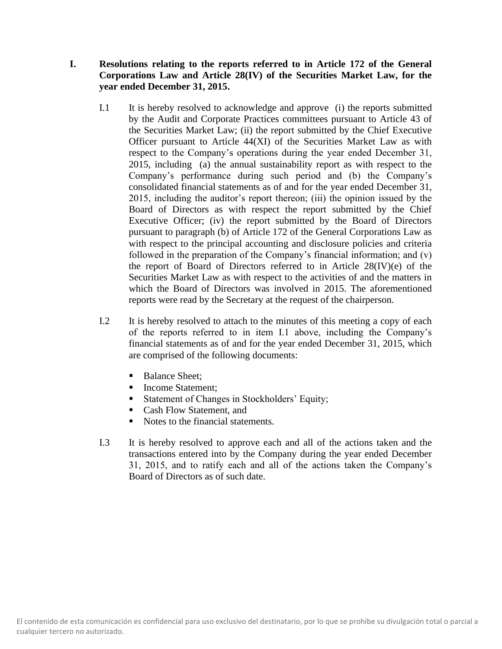# **I. Resolutions relating to the reports referred to in Article 172 of the General Corporations Law and Article 28(IV) of the Securities Market Law, for the year ended December 31, 2015.**

- I.1 It is hereby resolved to acknowledge and approve (i) the reports submitted by the Audit and Corporate Practices committees pursuant to Article 43 of the Securities Market Law; (ii) the report submitted by the Chief Executive Officer pursuant to Article 44(XI) of the Securities Market Law as with respect to the Company's operations during the year ended December 31, 2015, including (a) the annual sustainability report as with respect to the Company's performance during such period and (b) the Company's consolidated financial statements as of and for the year ended December 31, 2015, including the auditor's report thereon; (iii) the opinion issued by the Board of Directors as with respect the report submitted by the Chief Executive Officer; (iv) the report submitted by the Board of Directors pursuant to paragraph (b) of Article 172 of the General Corporations Law as with respect to the principal accounting and disclosure policies and criteria followed in the preparation of the Company's financial information; and (v) the report of Board of Directors referred to in Article 28(IV)(e) of the Securities Market Law as with respect to the activities of and the matters in which the Board of Directors was involved in 2015. The aforementioned reports were read by the Secretary at the request of the chairperson.
- I.2 It is hereby resolved to attach to the minutes of this meeting a copy of each of the reports referred to in item I.1 above, including the Company's financial statements as of and for the year ended December 31, 2015, which are comprised of the following documents:
	- Balance Sheet;
	- Income Statement:
	- **Exercise 1** Statement of Changes in Stockholders' Equity;
	- Cash Flow Statement, and
	- Notes to the financial statements.
- I.3 It is hereby resolved to approve each and all of the actions taken and the transactions entered into by the Company during the year ended December 31, 2015, and to ratify each and all of the actions taken the Company's Board of Directors as of such date.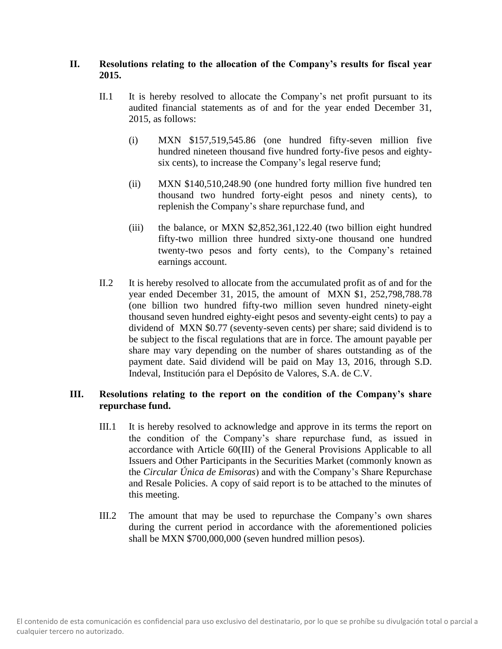## **II. Resolutions relating to the allocation of the Company's results for fiscal year 2015.**

- II.1 It is hereby resolved to allocate the Company's net profit pursuant to its audited financial statements as of and for the year ended December 31, 2015, as follows:
	- (i) MXN \$157,519,545.86 (one hundred fifty-seven million five hundred nineteen thousand five hundred forty-five pesos and eightysix cents), to increase the Company's legal reserve fund;
	- (ii) MXN \$140,510,248.90 (one hundred forty million five hundred ten thousand two hundred forty-eight pesos and ninety cents), to replenish the Company's share repurchase fund, and
	- (iii) the balance, or MXN \$2,852,361,122.40 (two billion eight hundred fifty-two million three hundred sixty-one thousand one hundred twenty-two pesos and forty cents), to the Company's retained earnings account.
- II.2 It is hereby resolved to allocate from the accumulated profit as of and for the year ended December 31, 2015, the amount of MXN \$1, 252,798,788.78 (one billion two hundred fifty-two million seven hundred ninety-eight thousand seven hundred eighty-eight pesos and seventy-eight cents) to pay a dividend of MXN \$0.77 (seventy-seven cents) per share; said dividend is to be subject to the fiscal regulations that are in force. The amount payable per share may vary depending on the number of shares outstanding as of the payment date. Said dividend will be paid on May 13, 2016, through S.D. Indeval, Institución para el Depósito de Valores, S.A. de C.V.

# **III. Resolutions relating to the report on the condition of the Company's share repurchase fund.**

- III.1 It is hereby resolved to acknowledge and approve in its terms the report on the condition of the Company's share repurchase fund, as issued in accordance with Article 60(III) of the General Provisions Applicable to all Issuers and Other Participants in the Securities Market (commonly known as the *Circular Única de Emisoras*) and with the Company's Share Repurchase and Resale Policies. A copy of said report is to be attached to the minutes of this meeting.
- III.2 The amount that may be used to repurchase the Company's own shares during the current period in accordance with the aforementioned policies shall be MXN \$700,000,000 (seven hundred million pesos).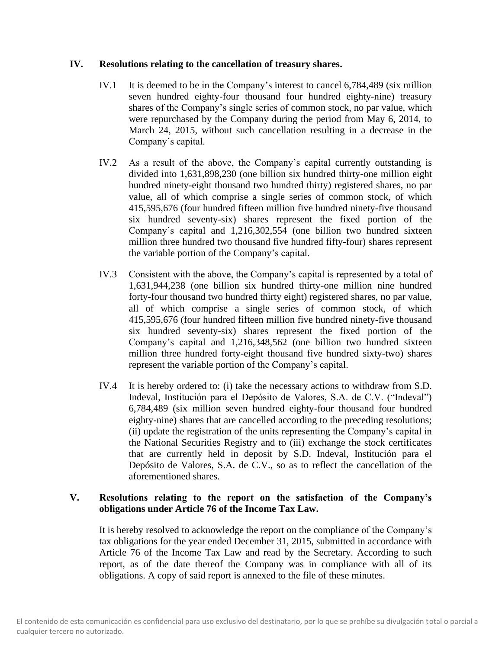#### **IV. Resolutions relating to the cancellation of treasury shares.**

- IV.1 It is deemed to be in the Company's interest to cancel 6,784,489 (six million seven hundred eighty-four thousand four hundred eighty-nine) treasury shares of the Company's single series of common stock, no par value, which were repurchased by the Company during the period from May 6, 2014, to March 24, 2015, without such cancellation resulting in a decrease in the Company's capital.
- IV.2 As a result of the above, the Company's capital currently outstanding is divided into 1,631,898,230 (one billion six hundred thirty-one million eight hundred ninety-eight thousand two hundred thirty) registered shares, no par value, all of which comprise a single series of common stock, of which 415,595,676 (four hundred fifteen million five hundred ninety-five thousand six hundred seventy-six) shares represent the fixed portion of the Company's capital and 1,216,302,554 (one billion two hundred sixteen million three hundred two thousand five hundred fifty-four) shares represent the variable portion of the Company's capital.
- IV.3 Consistent with the above, the Company's capital is represented by a total of 1,631,944,238 (one billion six hundred thirty-one million nine hundred forty-four thousand two hundred thirty eight) registered shares, no par value, all of which comprise a single series of common stock, of which 415,595,676 (four hundred fifteen million five hundred ninety-five thousand six hundred seventy-six) shares represent the fixed portion of the Company's capital and 1,216,348,562 (one billion two hundred sixteen million three hundred forty-eight thousand five hundred sixty-two) shares represent the variable portion of the Company's capital.
- IV.4 It is hereby ordered to: (i) take the necessary actions to withdraw from S.D. Indeval, Institución para el Depósito de Valores, S.A. de C.V. ("Indeval") 6,784,489 (six million seven hundred eighty-four thousand four hundred eighty-nine) shares that are cancelled according to the preceding resolutions; (ii) update the registration of the units representing the Company's capital in the National Securities Registry and to (iii) exchange the stock certificates that are currently held in deposit by S.D. Indeval, Institución para el Depósito de Valores, S.A. de C.V., so as to reflect the cancellation of the aforementioned shares.

#### **V. Resolutions relating to the report on the satisfaction of the Company's obligations under Article 76 of the Income Tax Law.**

It is hereby resolved to acknowledge the report on the compliance of the Company's tax obligations for the year ended December 31, 2015, submitted in accordance with Article 76 of the Income Tax Law and read by the Secretary. According to such report, as of the date thereof the Company was in compliance with all of its obligations. A copy of said report is annexed to the file of these minutes.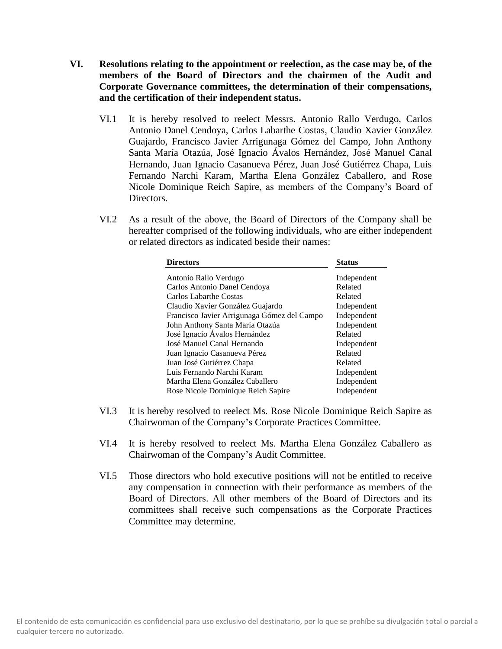- **VI. Resolutions relating to the appointment or reelection, as the case may be, of the members of the Board of Directors and the chairmen of the Audit and Corporate Governance committees, the determination of their compensations, and the certification of their independent status.**
	- VI.1 It is hereby resolved to reelect Messrs. Antonio Rallo Verdugo, Carlos Antonio Danel Cendoya, Carlos Labarthe Costas, Claudio Xavier González Guajardo, Francisco Javier Arrigunaga Gómez del Campo, John Anthony Santa María Otazúa, José Ignacio Ávalos Hernández, José Manuel Canal Hernando, Juan Ignacio Casanueva Pérez, Juan José Gutiérrez Chapa, Luis Fernando Narchi Karam, Martha Elena González Caballero, and Rose Nicole Dominique Reich Sapire, as members of the Company's Board of Directors.
	- VI.2 As a result of the above, the Board of Directors of the Company shall be hereafter comprised of the following individuals, who are either independent or related directors as indicated beside their names:

| <b>Directors</b>                            | <b>Status</b> |
|---------------------------------------------|---------------|
| Antonio Rallo Verdugo                       | Independent   |
| Carlos Antonio Danel Cendoya                | Related       |
| Carlos Labarthe Costas                      | Related       |
| Claudio Xavier González Guajardo            | Independent   |
| Francisco Javier Arrigunaga Gómez del Campo | Independent   |
| John Anthony Santa María Otazúa             | Independent   |
| José Ignacio Ávalos Hernández               | Related       |
| José Manuel Canal Hernando                  | Independent   |
| Juan Ignacio Casanueva Pérez                | Related       |
| Juan José Gutiérrez Chapa                   | Related       |
| Luis Fernando Narchi Karam                  | Independent   |
| Martha Elena González Caballero             | Independent   |
| Rose Nicole Dominique Reich Sapire          | Independent   |

- VI.3 It is hereby resolved to reelect Ms. Rose Nicole Dominique Reich Sapire as Chairwoman of the Company's Corporate Practices Committee.
- VI.4 It is hereby resolved to reelect Ms. Martha Elena González Caballero as Chairwoman of the Company's Audit Committee.
- VI.5 Those directors who hold executive positions will not be entitled to receive any compensation in connection with their performance as members of the Board of Directors. All other members of the Board of Directors and its committees shall receive such compensations as the Corporate Practices Committee may determine.